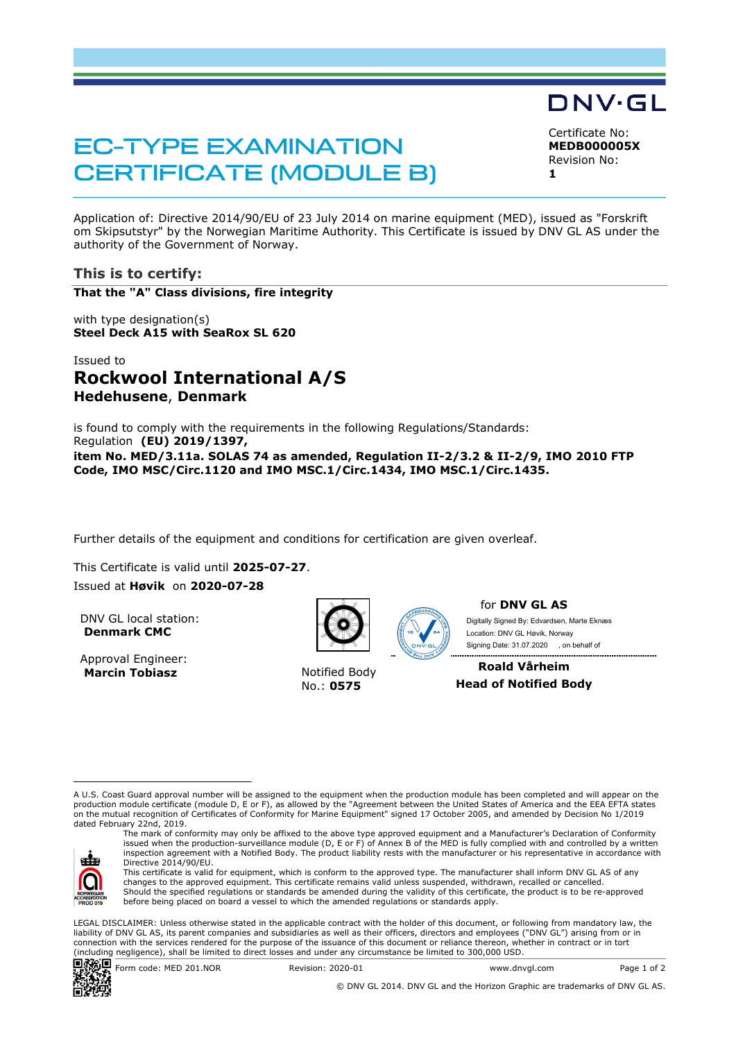# EC-TYPE EXAMINATION CERTIFICATE (MODULE B)

Certificate No: **MEDB000005X** Revision No: **1** 

DNV·GL

Application of: Directive 2014/90/EU of 23 July 2014 on marine equipment (MED), issued as "Forskrift om Skipsutstyr" by the Norwegian Maritime Authority. This Certificate is issued by DNV GL AS under the authority of the Government of Norway.

## **This is to certify:**

**That the "A" Class divisions, fire integrity**

with type designation(s) **Steel Deck A15 with SeaRox SL 620**

# Issued to **Rockwool International A/S Hedehusene**, **Denmark**

is found to comply with the requirements in the following Regulations/Standards: Regulation **(EU) 2019/1397, item No. MED/3.11a. SOLAS 74 as amended, Regulation II-2/3.2 & II-2/9, IMO 2010 FTP Code, IMO MSC/Circ.1120 and IMO MSC.1/Circ.1434, IMO MSC.1/Circ.1435.** 

Further details of the equipment and conditions for certification are given overleaf.

This Certificate is valid until **2025-07-27**. Issued at **Høvik** on **2020-07-28**

DNV GL local station: **Denmark CMC**

Approval Engineer: **Marcin Tobiasz Notified Body** 



No.: **0575**



for **DNV GL AS**

 Signing Date: 31.07.2020 , on behalf ofDigitally Signed By: Edvardsen, Marte Eknæs Location: DNV GL Høvik, Norway

**Roald Vårheim Head of Notified Body**

A U.S. Coast Guard approval number will be assigned to the equipment when the production module has been completed and will appear on the production module certificate (module D, E or F), as allowed by the "Agreement between the United States of America and the EEA EFTA states on the mutual recognition of Certificates of Conformity for Marine Equipment" signed 17 October 2005, and amended by Decision No 1/2019 dated February 22nd, 2019.



The mark of conformity may only be affixed to the above type approved equipment and a Manufacturer's Declaration of Conformity issued when the production-surveillance module (D, E or F) of Annex B of the MED is fully complied with and controlled by a written inspection agreement with a Notified Body. The product liability rests with the manufacturer or his representative in accordance with Directive 2014/90/EU. This certificate is valid for equipment, which is conform to the approved type. The manufacturer shall inform DNV GL AS of any

changes to the approved equipment. This certificate remains valid unless suspended, withdrawn, recalled or cancelled. Should the specified regulations or standards be amended during the validity of this certificate, the product is to be re-approved before being placed on board a vessel to which the amended regulations or standards apply.

LEGAL DISCLAIMER: Unless otherwise stated in the applicable contract with the holder of this document, or following from mandatory law, the liability of DNV GL AS, its parent companies and subsidiaries as well as their officers, directors and employees ("DNV GL") arising from or in connection with the services rendered for the purpose of the issuance of this document or reliance thereon, whether in contract or in tort (including negligence), shall be limited to direct losses and under any circumstance be limited to 300,000 USD.